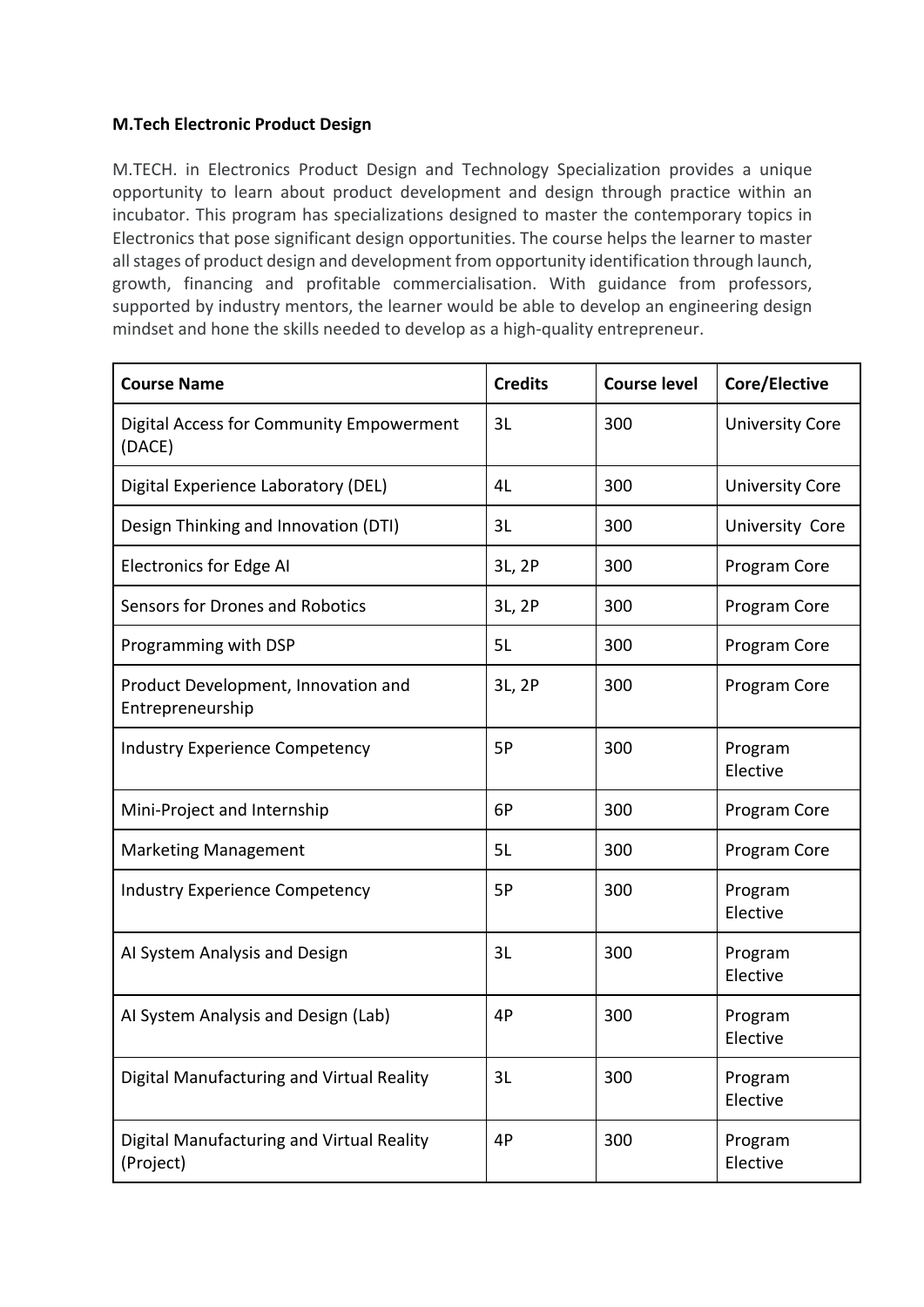## **M.Tech Electronic Product Design**

M.TECH. in Electronics Product Design and Technology Specialization provides a unique opportunity to learn about product development and design through practice within an incubator. This program has specializations designed to master the contemporary topics in Electronics that pose significant design opportunities. The course helps the learner to master all stages of product design and development from opportunity identification through launch, growth, financing and profitable commercialisation. With guidance from professors, supported by industry mentors, the learner would be able to develop an engineering design mindset and hone the skills needed to develop as a high-quality entrepreneur.

| <b>Course Name</b>                                      | <b>Credits</b> | <b>Course level</b> | Core/Elective          |
|---------------------------------------------------------|----------------|---------------------|------------------------|
| Digital Access for Community Empowerment<br>(DACE)      | 3L             | 300                 | <b>University Core</b> |
| Digital Experience Laboratory (DEL)                     | 4L             | 300                 | <b>University Core</b> |
| Design Thinking and Innovation (DTI)                    | 3L             | 300                 | University Core        |
| <b>Electronics for Edge AI</b>                          | 3L, 2P         | 300                 | Program Core           |
| Sensors for Drones and Robotics                         | 3L, 2P         | 300                 | Program Core           |
| Programming with DSP                                    | 5L             | 300                 | Program Core           |
| Product Development, Innovation and<br>Entrepreneurship | 3L, 2P         | 300                 | Program Core           |
| <b>Industry Experience Competency</b>                   | 5P             | 300                 | Program<br>Elective    |
| Mini-Project and Internship                             | 6P             | 300                 | Program Core           |
| <b>Marketing Management</b>                             | 5L             | 300                 | Program Core           |
| <b>Industry Experience Competency</b>                   | 5P             | 300                 | Program<br>Elective    |
| Al System Analysis and Design                           | 3L             | 300                 | Program<br>Elective    |
| Al System Analysis and Design (Lab)                     | 4P             | 300                 | Program<br>Elective    |
| Digital Manufacturing and Virtual Reality               | 3L             | 300                 | Program<br>Elective    |
| Digital Manufacturing and Virtual Reality<br>(Project)  | 4P             | 300                 | Program<br>Elective    |